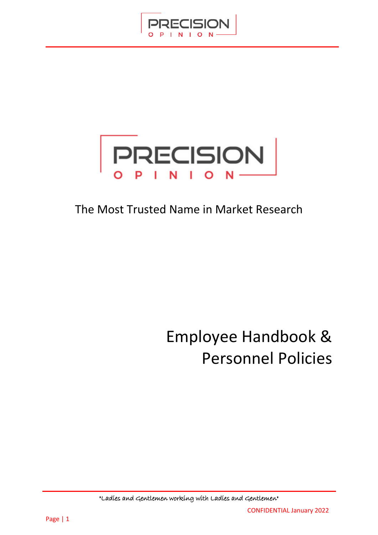



## The Most Trusted Name in Market Research

# Employee Handbook & Personnel Policies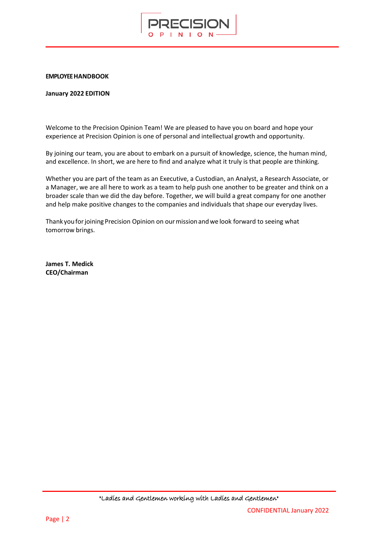

#### **EMPLOYEE HANDBOOK**

#### **January 2022 EDITION**

Welcome to the Precision Opinion Team! We are pleased to have you on board and hope your experience at Precision Opinion is one of personal and intellectual growth and opportunity.

By joining our team, you are about to embark on a pursuit of knowledge, science, the human mind, and excellence. In short, we are here to find and analyze what it truly is that people are thinking.

Whether you are part of the team as an Executive, a Custodian, an Analyst, a Research Associate, or a Manager, we are all here to work as a team to help push one another to be greater and think on a broader scale than we did the day before. Together, we will build a great company for one another and help make positive changes to the companies and individuals that shape our everyday lives.

Thank you for joining Precision Opinion on our mission and we look forward to seeing what tomorrow brings.

**James T. Medick CEO/Chairman**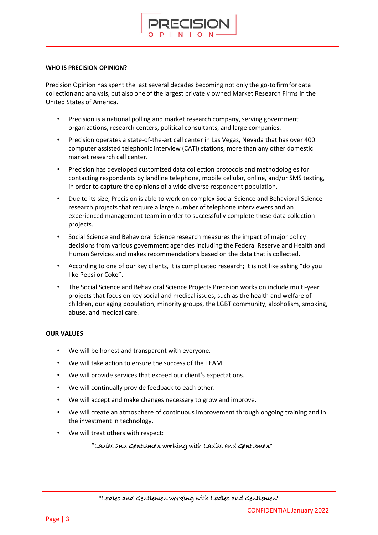

#### **WHO IS PRECISION OPINION?**

Precision Opinion has spent the last several decades becoming not only the go-tofirmfordata collectionandanalysis, but also one of the largest privately owned Market Research Firms in the United States of America.

- Precision is a national polling and market research company, serving government organizations, research centers, political consultants, and large companies.
- Precision operates a state-of-the-art call center in Las Vegas, Nevada that has over 400 computer assisted telephonic interview (CATI) stations, more than any other domestic market research call center.
- Precision has developed customized data collection protocols and methodologies for contacting respondents by landline telephone, mobile cellular, online, and/or SMS texting, in order to capture the opinions of a wide diverse respondent population.
- Due to its size, Precision is able to work on complex Social Science and Behavioral Science research projects that require a large number of telephone interviewers and an experienced management team in order to successfully complete these data collection projects.
- Social Science and Behavioral Science research measures the impact of major policy decisions from various government agencies including the Federal Reserve and Health and Human Services and makes recommendations based on the data that is collected.
- According to one of our key clients, it is complicated research; it is not like asking "do you like Pepsi or Coke".
- The Social Science and Behavioral Science Projects Precision works on include multi-year projects that focus on key social and medical issues, such as the health and welfare of children, our aging population, minority groups, the LGBT community, alcoholism, smoking, abuse, and medical care.

#### **OUR VALUES**

- We will be honest and transparent with everyone.
- We will take action to ensure the success of the TEAM.
- We will provide services that exceed our client's expectations.
- We will continually provide feedback to each other.
- We will accept and make changes necessary to grow and improve.
- We will create an atmosphere of continuous improvement through ongoing training and in the investment in technology.
- We will treat others with respect:
	- "Ladies and Gentlemen working with Ladies and Gentlemen"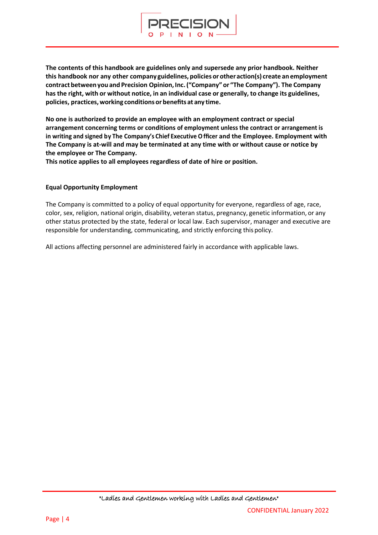

**The contents of this handbook are guidelines only and supersede any prior handbook. Neither this handbook nor any other company guidelines, policies or otheraction(s) create an employment contractbetweenyou and Precision Opinion,Inc.("Company" or "The Company"). The Company has the right, with or without notice, in an individual case or generally, to change its guidelines, policies, practices,working conditionsor benefits at any time.**

**No one is authorized to provide an employee with an employment contract or special arrangement concerning terms or conditions of employment unless the contract or arrangement is in writing and signed by The Company's Chief Executive Officer and the Employee. Employment with The Company is at-will and may be terminated at any time with or without cause or notice by the employee or The Company.** 

**This notice applies to all employees regardless of date of hire or position.** 

#### **Equal Opportunity Employment**

The Company is committed to a policy of equal opportunity for everyone, regardless of age, race, color, sex, religion, national origin, disability, veteran status, pregnancy, genetic information, or any other status protected by the state, federal or local law. Each supervisor, manager and executive are responsible for understanding, communicating, and strictly enforcing this policy.

All actions affecting personnel are administered fairly in accordance with applicable laws.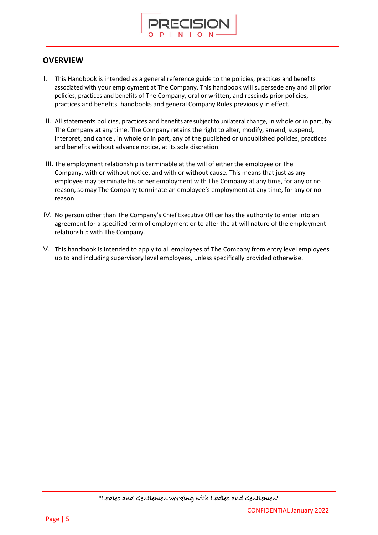

### **OVERVIEW**

- I. This Handbook is intended as a general reference guide to the policies, practices and benefits associated with your employment at The Company. This handbook will supersede any and all prior policies, practices and benefits of The Company, oral or written, and rescinds prior policies, practices and benefits, handbooks and general Company Rules previously in effect.
- II. All statements policies, practices and benefits are subjectto unilateral change, in whole or in part, by The Company at any time. The Company retains the right to alter, modify, amend, suspend, interpret, and cancel, in whole or in part, any of the published or unpublished policies, practices and benefits without advance notice, at its sole discretion.
- III. The employment relationship is terminable at the will of either the employee or The Company, with or without notice, and with or without cause. This means that just as any employee may terminate his or her employment with The Company at any time, for any or no reason, somay The Company terminate an employee's employment at any time, for any or no reason.
- IV. No person other than The Company's Chief Executive Officer has the authority to enter into an agreement for a specified term of employment or to alter the at-will nature of the employment relationship with The Company.
- V. This handbook is intended to apply to all employees of The Company from entry level employees up to and including supervisory level employees, unless specifically provided otherwise.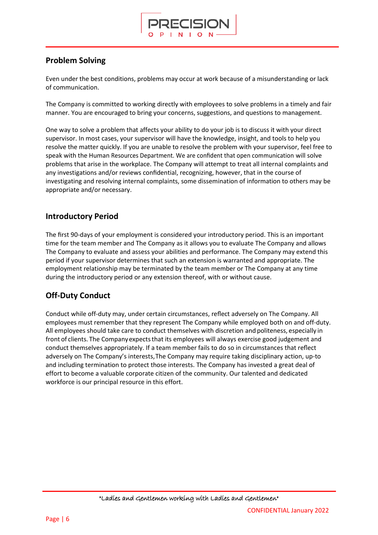

### **Problem Solving**

Even under the best conditions, problems may occur at work because of a misunderstanding or lack of communication.

The Company is committed to working directly with employees to solve problems in a timely and fair manner. You are encouraged to bring your concerns, suggestions, and questions to management.

One way to solve a problem that affects your ability to do your job is to discuss it with your direct supervisor. In most cases, your supervisor will have the knowledge, insight, and tools to help you resolve the matter quickly. If you are unable to resolve the problem with your supervisor, feel free to speak with the Human Resources Department. We are confident that open communication will solve problems that arise in the workplace. The Company will attempt to treat all internal complaints and any investigations and/or reviews confidential, recognizing, however, that in the course of investigating and resolving internal complaints, some dissemination of information to others may be appropriate and/or necessary.

### **Introductory Period**

The first 90-days of your employment is considered your introductory period. This is an important time for the team member and The Company as it allows you to evaluate The Company and allows The Company to evaluate and assess your abilities and performance. The Company may extend this period if your supervisor determines that such an extension is warranted and appropriate. The employment relationship may be terminated by the team member or The Company at any time during the introductory period or any extension thereof, with or without cause.

### **Off-Duty Conduct**

Conduct while off-duty may, under certain circumstances, reflect adversely on The Company. All employees must remember that they represent The Company while employed both on and off-duty. All employees should take care to conduct themselves with discretion and politeness, especially in front of clients. The Companyexpectsthat its employees will always exercise good judgement and conduct themselves appropriately. If a team member fails to do so in circumstances that reflect adversely on The Company's interests,The Company may require taking disciplinary action, up-to and including termination to protect those interests. The Company has invested a great deal of effort to become a valuable corporate citizen of the community. Our talented and dedicated workforce is our principal resource in this effort.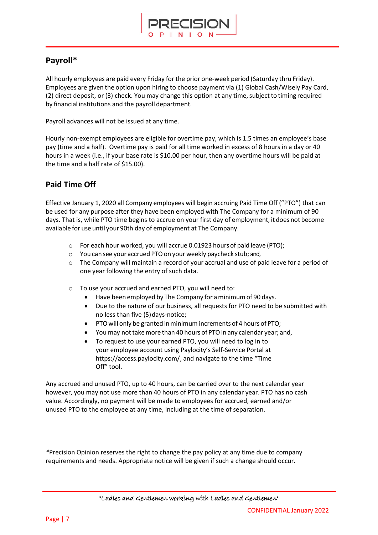

### **Payroll\***

All hourly employees are paid every Friday for the prior one-week period (Saturday thru Friday). Employees are given the option upon hiring to choose payment via (1) Global Cash/Wisely Pay Card, (2) direct deposit, or (3) check. You may change this option at any time,subject to timing required by financial institutions and the payroll department.

Payroll advances will not be issued at any time.

Hourly non-exempt employees are eligible for overtime pay, which is 1.5 times an employee's base pay (time and a half). Overtime pay is paid for all time worked in excess of 8 hours in a day or 40 hours in a week (i.e., if your base rate is \$10.00 per hour, then any overtime hours will be paid at the time and a half rate of \$15.00).

### **Paid Time Off**

Effective January 1, 2020 all Company employees will begin accruing Paid Time Off ("PTO") that can be used for any purpose after they have been employed with The Company for a minimum of 90 days. That is, while PTO time begins to accrue on your first day of employment, it does not become available for use until your 90th day of employment at The Company.

- o For each hour worked, you will accrue 0.01923 hours of paid leave (PTO);
- o You can see your accrued PTOon your weekly paycheck stub; and,
- o The Company will maintain a record of your accrual and use of paid leave for a period of one year following the entry of such data.
- o To use your accrued and earned PTO, you will need to:
	- Have been employed by The Company for aminimumof 90 days.
	- Due to the nature of our business, all requests for PTO need to be submitted with no less than five (5) days-notice;
	- PTO will only be granted in minimum increments of 4 hours of PTO;
	- You may not take more than 40 hours of PTO in any calendar year; and,
	- To request to use your earned PTO, you will need to log in to your employee account using Paylocity's Self-Service Portal a[t](https://access.paylocity.com/) <https://access.paylocity.com/>, and navigate to the time "Time Off" tool.

Any accrued and unused PTO, up to 40 hours, can be carried over to the next calendar year however, you may not use more than 40 hours of PTO in any calendar year. PTO has no cash value. Accordingly, no payment will be made to employees for accrued, earned and/or unused PTO to the employee at any time, including at the time of separation.

*\**Precision Opinion reserves the right to change the pay policy at any time due to company requirements and needs. Appropriate notice will be given if such a change should occur.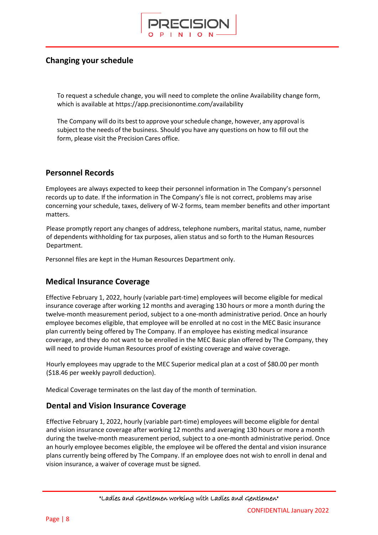

### **Changing your schedule**

To request a schedule change, you will need to complete the online Availability change form, which is available at https://app.precisionontime.com/availability

The Company will do its best to approve yourschedule change, however, any approval is subject to the needs of the business. Should you have any questions on how to fill out the form, please visit the Precision Cares office.

### **Personnel Records**

Employees are always expected to keep their personnel information in The Company's personnel records up to date. If the information in The Company's file is not correct, problems may arise concerning your schedule, taxes, delivery of W-2 forms, team member benefits and other important matters.

Please promptly report any changes of address, telephone numbers, marital status, name, number of dependents withholding for tax purposes, alien status and so forth to the Human Resources Department.

Personnel files are kept in the Human Resources Department only.

### **Medical Insurance Coverage**

Effective February 1, 2022, hourly (variable part-time) employees will become eligible for medical insurance coverage after working 12 months and averaging 130 hours or more a month during the twelve-month measurement period, subject to a one-month administrative period. Once an hourly employee becomes eligible, that employee will be enrolled at no cost in the MEC Basic insurance plan currently being offered by The Company. If an employee has existing medical insurance coverage, and they do not want to be enrolled in the MEC Basic plan offered by The Company, they will need to provide Human Resources proof of existing coverage and waive coverage.

Hourly employees may upgrade to the MEC Superior medical plan at a cost of \$80.00 per month (\$18.46 per weekly payroll deduction).

Medical Coverage terminates on the last day of the month of termination.

### **Dental and Vision Insurance Coverage**

Effective February 1, 2022, hourly (variable part-time) employees will become eligible for dental and vision insurance coverage after working 12 months and averaging 130 hours or more a month during the twelve-month measurement period, subject to a one-month administrative period. Once an hourly employee becomes eligible, the employee wil be offered the dental and vision insurance plans currently being offered by The Company. If an employee does not wish to enroll in denal and vision insurance, a waiver of coverage must be signed.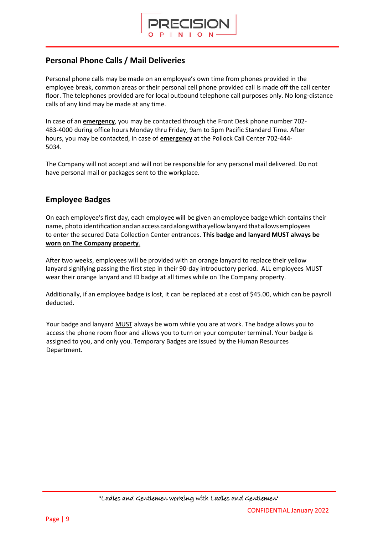

### **Personal Phone Calls / Mail Deliveries**

Personal phone calls may be made on an employee's own time from phones provided in the employee break, common areas or their personal cell phone provided call is made off the call center floor. The telephones provided are for local outbound telephone call purposes only. No long-distance calls of any kind may be made at any time.

In case of an **emergency**, you may be contacted through the Front Desk phone number 702- 483-4000 during office hours Monday thru Friday, 9am to 5pm Pacific Standard Time. After hours, you may be contacted, in case of **emergency** at the Pollock Call Center 702-444- 5034.

The Company will not accept and will not be responsible for any personal mail delivered. Do not have personal mail or packages sent to the workplace.

### **Employee Badges**

On each employee's first day, each employee will be given an employee badge which contains their name, photo identification and an access card along with a yellow lanyard that allows employees to enter the secured Data Collection Center entrances. **This badge and lanyard MUST always be worn on The Company property**.

After two weeks, employees will be provided with an orange lanyard to replace their yellow lanyard signifying passing the first step in their 90-day introductory period. ALL employees MUST wear their orange lanyard and ID badge at all times while on The Company property.

Additionally, if an employee badge is lost, it can be replaced at a cost of \$45.00, which can be payroll deducted.

Your badge and lanyard MUST always be worn while you are at work. The badge allows you to access the phone room floor and allows you to turn on your computer terminal. Your badge is assigned to you, and only you. Temporary Badges are issued by the Human Resources Department.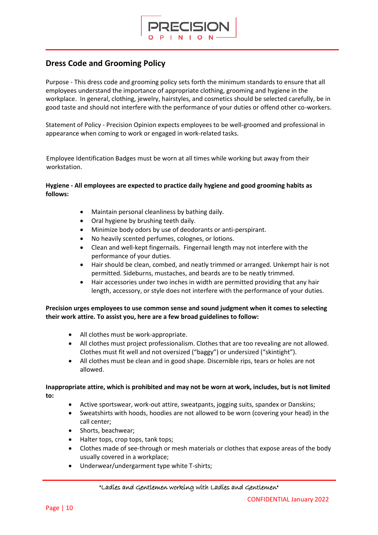

### **Dress Code and Grooming Policy**

Purpose - This dress code and grooming policy sets forth the minimum standards to ensure that all employees understand the importance of appropriate clothing, grooming and hygiene in the workplace. In general, clothing, jewelry, hairstyles, and cosmetics should be selected carefully, be in good taste and should not interfere with the performance of your duties or offend other co-workers.

Statement of Policy - Precision Opinion expects employees to be well-groomed and professional in appearance when coming to work or engaged in work-related tasks.

Employee Identification Badges must be worn at all times while working but away from their workstation.

#### **Hygiene - All employees are expected to practice daily hygiene and good grooming habits as follows:**

- Maintain personal cleanliness by bathing daily.
- Oral hygiene by brushing teeth daily.
- Minimize body odors by use of deodorants or anti-perspirant.
- No heavily scented perfumes, colognes, or lotions.
- Clean and well-kept fingernails. Fingernail length may not interfere with the performance of your duties.
- Hair should be clean, combed, and neatly trimmed or arranged. Unkempt hair is not permitted. Sideburns, mustaches, and beards are to be neatly trimmed.
- Hair accessories under two inches in width are permitted providing that any hair length, accessory, or style does not interfere with the performance of your duties.

**Precision urges employees to use common sense and sound judgment when it comes to selecting their work attire. To assist you, here are a few broad guidelines to follow:**

- All clothes must be work-appropriate.
- All clothes must project professionalism. Clothes that are too revealing are not allowed. Clothes must fit well and not oversized ("baggy") or undersized ("skintight").
- All clothes must be clean and in good shape. Discernible rips, tears or holes are not allowed.

#### **Inappropriate attire, which is prohibited and may not be worn at work, includes, but is not limited to:**

- Active sportswear, work-out attire, sweatpants, jogging suits, spandex or Danskins;
- Sweatshirts with hoods, hoodies are not allowed to be worn (covering your head) in the call center;
- Shorts, beachwear;
- Halter tops, crop tops, tank tops;
- Clothes made of see-through or mesh materials or clothes that expose areas of the body usually covered in a workplace;
- Underwear/undergarment type white T-shirts;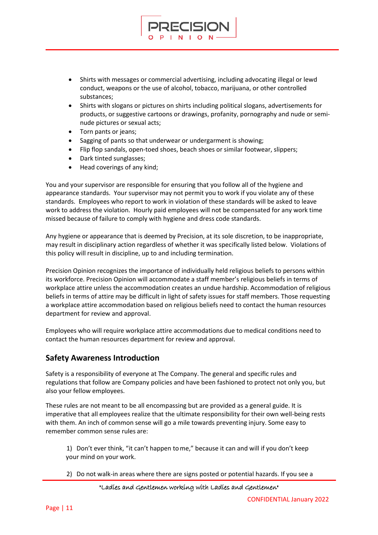• Shirts with messages or commercial advertising, including advocating illegal or lewd conduct, weapons or the use of alcohol, tobacco, marijuana, or other controlled substances;

RECISION

- Shirts with slogans or pictures on shirts including political slogans, advertisements for products, or suggestive cartoons or drawings, profanity, pornography and nude or seminude pictures or sexual acts;
- Torn pants or jeans;
- Sagging of pants so that underwear or undergarment is showing;
- Flip flop sandals, open-toed shoes, beach shoes or similar footwear, slippers;
- Dark tinted sunglasses;
- Head coverings of any kind;

You and your supervisor are responsible for ensuring that you follow all of the hygiene and appearance standards. Your supervisor may not permit you to work if you violate any of these standards. Employees who report to work in violation of these standards will be asked to leave work to address the violation. Hourly paid employees will not be compensated for any work time missed because of failure to comply with hygiene and dress code standards.

Any hygiene or appearance that is deemed by Precision, at its sole discretion, to be inappropriate, may result in disciplinary action regardless of whether it was specifically listed below. Violations of this policy will result in discipline, up to and including termination.

Precision Opinion recognizes the importance of individually held religious beliefs to persons within its workforce. Precision Opinion will accommodate a staff member's religious beliefs in terms of workplace attire unless the accommodation creates an undue hardship. Accommodation of religious beliefs in terms of attire may be difficult in light of safety issues for staff members. Those requesting a workplace attire accommodation based on religious beliefs need to contact the human resources department for review and approval.

Employees who will require workplace attire accommodations due to medical conditions need to contact the human resources department for review and approval.

### **Safety Awareness Introduction**

Safety is a responsibility of everyone at The Company. The general and specific rules and regulations that follow are Company policies and have been fashioned to protect not only you, but also your fellow employees.

These rules are not meant to be all encompassing but are provided as a general guide. It is imperative that all employees realize that the ultimate responsibility for their own well-being rests with them. An inch of common sense will go a mile towards preventing injury. Some easy to remember common sense rules are:

1) Don't ever think, "it can't happen tome," because it can and will if you don't keep your mind on your work.

2) Do not walk-in areas where there are signs posted or potential hazards. If you see a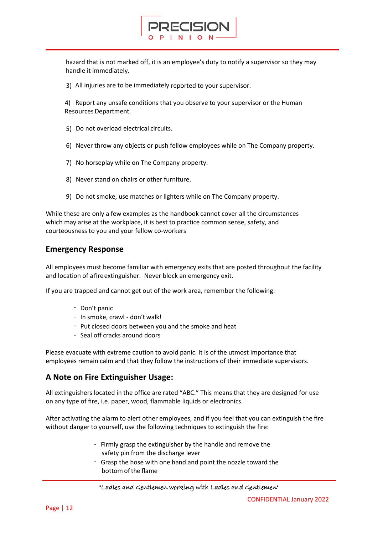

hazard that is not marked off, it is an employee's duty to notify a supervisor so they may handle it immediately.

3) All injuries are to be immediately reported to your supervisor.

4) Report any unsafe conditions that you observe to your supervisor or the Human Resources Department.

- 5) Do not overload electrical circuits.
- 6) Never throw any objects or push fellow employees while on The Company property.
- 7) No horseplay while on The Company property.
- 8) Never stand on chairs or other furniture.
- 9) Do not smoke, use matches or lighters while on The Company property.

While these are only a few examples as the handbook cannot cover all the circumstances which may arise at the workplace, it is best to practice common sense, safety, and courteousness to you and your fellow co-workers

#### **Emergency Response**

All employees must become familiar with emergency exits that are posted throughout the facility and location of afireextinguisher. Never block an emergency exit.

If you are trapped and cannot get out of the work area, remember the following:

- Don't panic
- In smoke, crawl don't walk!
- Put closed doors between you and the smoke and heat
- Seal off cracks around doors

Please evacuate with extreme caution to avoid panic. It is of the utmost importance that employees remain calm and that they follow the instructions of their immediate supervisors.

#### **A Note on Fire Extinguisher Usage:**

All extinguishers located in the office are rated "ABC." This means that they are designed for use on any type of fire, i.e. paper, wood, flammable liquids or electronics.

After activating the alarm to alert other employees, and if you feel that you can extinguish the fire without danger to yourself, use the following techniques to extinguish the fire:

- Firmly grasp the extinguisher by the handle and remove the safety pin from the discharge lever
- Grasp the hose with one hand and point the nozzle toward the bottom of the flame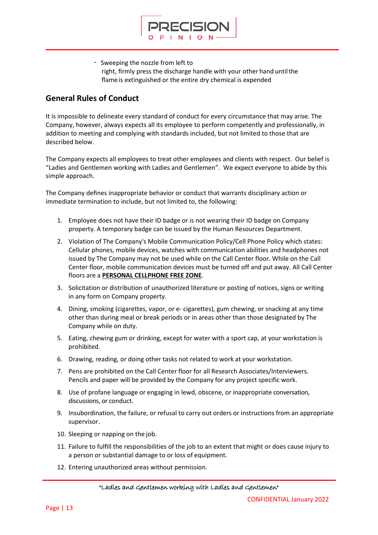

- Sweeping the nozzle from left to right, firmly press the discharge handle with your other hand untilthe flameis extinguished or the entire dry chemical is expended

### **General Rules of Conduct**

It is impossible to delineate every standard of conduct for every circumstance that may arise. The Company, however, always expects all its employee to perform competently and professionally, in addition to meeting and complying with standards included, but not limited to those that are described below.

The Company expects all employees to treat other employees and clients with respect. Our belief is "Ladies and Gentlemen working with Ladies and Gentlemen". We expect everyone to abide by this simple approach.

The Company defines inappropriate behavior or conduct that warrants disciplinary action or immediate termination to include, but not limited to, the following:

- 1. Employee does not have their ID badge or is not wearing their ID badge on Company property. A temporary badge can be issued by the Human Resources Department.
- 2. Violation of The Company's Mobile Communication Policy/Cell Phone Policy which states: Cellular phones, mobile devices, watches with communication abilities and headphones not issued by The Company may not be used while on the Call Center floor. While on the Call Center floor, mobile communication devices must be turned off and put away. All Call Center floors are a **PERSONAL CELLPHONE FREE ZONE**.
- 3. Solicitation or distribution of unauthorized literature or posting of notices, signs or writing in any form on Company property.
- 4. Dining, smoking (cigarettes, vapor, or e- cigarettes), gum chewing, or snacking at any time other than during meal or break periods or in areas other than those designated by The Company while on duty.
- 5. Eating, chewing gum or drinking, except for water with a sport cap, at your workstation is prohibited.
- 6. Drawing, reading, or doing other tasks not related to work at your workstation.
- 7. Pens are prohibited on the Call Center floor for all Research Associates/Interviewers. Pencils and paper will be provided by the Company for any project specific work.
- 8. Use of profane language or engaging in lewd, obscene, or inappropriate conversation, discussions, or conduct.
- 9. Insubordination, the failure, or refusal to carry out orders or instructions from an appropriate supervisor.
- 10. Sleeping or napping on the job.
- 11. Failure to fulfill the responsibilities of the job to an extent that might or does cause injury to a person or substantial damage to or loss of equipment.
- 12. Entering unauthorized areas without permission.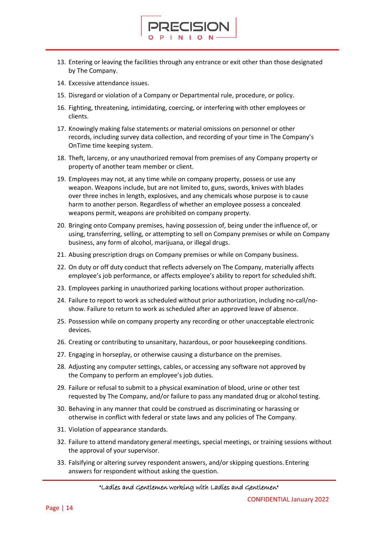13. Entering or leaving the facilities through any entrance or exit other than those designated by The Company.

FCISION

- 14. Excessive attendance issues.
- 15. Disregard or violation of a Company or Departmental rule, procedure, or policy.
- 16. Fighting, threatening, intimidating, coercing, or interfering with other employees or clients.
- 17. Knowingly making false statements or material omissions on personnel or other records, including survey data collection, and recording of your time in The Company's OnTime time keeping system.
- 18. Theft, larceny, or any unauthorized removal from premises of any Company property or property of another team member or client.
- 19. Employees may not, at any time while on company property, possess or use any weapon. Weapons include, but are not limited to, guns, swords, knives with blades over three inches in length, explosives, and any chemicals whose purpose is to cause harm to another person. Regardless of whether an employee possess a concealed weapons permit, weapons are prohibited on company property.
- 20. Bringing onto Company premises, having possession of, being under the influence of, or using, transferring, selling, or attempting to sell on Company premises or while on Company business, any form of alcohol, marijuana, or illegal drugs.
- 21. Abusing prescription drugs on Company premises or while on Company business.
- 22. On duty or off duty conduct that reflects adversely on The Company, materially affects employee's job performance, or affects employee's ability to report for scheduled shift.
- 23. Employees parking in unauthorized parking locations without proper authorization.
- 24. Failure to report to work as scheduled without prior authorization, including no-call/noshow. Failure to return to work as scheduled after an approved leave of absence.
- 25. Possession while on company property any recording or other unacceptable electronic devices.
- 26. Creating or contributing to unsanitary, hazardous, or poor housekeeping conditions.
- 27. Engaging in horseplay, or otherwise causing a disturbance on the premises.
- 28. Adjusting any computer settings, cables, or accessing any software not approved by the Company to perform an employee's job duties.
- 29. Failure or refusal to submit to a physical examination of blood, urine or other test requested by The Company, and/or failure to pass any mandated drug or alcohol testing.
- 30. Behaving in any manner that could be construed as discriminating or harassing or otherwise in conflict with federal or state laws and any policies of The Company.
- 31. Violation of appearance standards.
- 32. Failure to attend mandatory general meetings, special meetings, or training sessions without the approval of your supervisor.
- 33. Falsifying or altering survey respondent answers, and/or skipping questions. Entering answers for respondent without asking the question.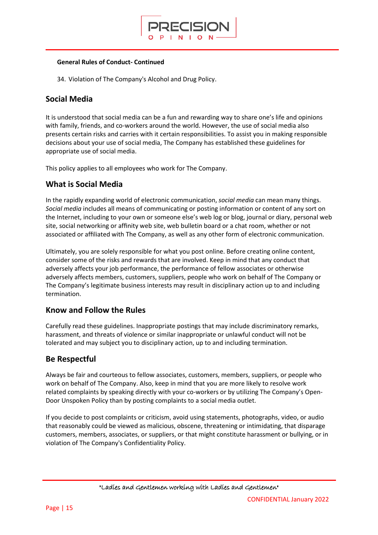

#### **General Rules of Conduct- Continued**

34. Violation of The Company's Alcohol and Drug Policy.

### **Social Media**

It is understood that social media can be a fun and rewarding way to share one's life and opinions with family, friends, and co-workers around the world. However, the use of social media also presents certain risks and carries with it certain responsibilities. To assist you in making responsible decisions about your use of social media, The Company has established these guidelines for appropriate use of social media.

This policy applies to all employees who work for The Company.

### **What is Social Media**

In the rapidly expanding world of electronic communication, *social media* can mean many things. *Social media* includes all means of communicating or posting information or content of any sort on the Internet, including to your own or someone else's web log or blog, journal or diary, personal web site, social networking or affinity web site, web bulletin board or a chat room, whether or not associated or affiliated with The Company, as well as any other form of electronic communication.

Ultimately, you are solely responsible for what you post online. Before creating online content, consider some of the risks and rewards that are involved. Keep in mind that any conduct that adversely affects your job performance, the performance of fellow associates or otherwise adversely affects members, customers, suppliers, people who work on behalf of The Company or The Company's legitimate business interests may result in disciplinary action up to and including termination.

### **Know and Follow the Rules**

Carefully read these guidelines. Inappropriate postings that may include discriminatory remarks, harassment, and threats of violence or similar inappropriate or unlawful conduct will not be tolerated and may subject you to disciplinary action, up to and including termination.

### **Be Respectful**

Always be fair and courteous to fellow associates, customers, members, suppliers, or people who work on behalf of The Company. Also, keep in mind that you are more likely to resolve work related complaints by speaking directly with your co-workers or by utilizing The Company's Open-Door Unspoken Policy than by posting complaints to a social media outlet.

If you decide to post complaints or criticism, avoid using statements, photographs, video, or audio that reasonably could be viewed as malicious, obscene, threatening or intimidating, that disparage customers, members, associates, or suppliers, or that might constitute harassment or bullying, or in violation of The Company's Confidentiality Policy.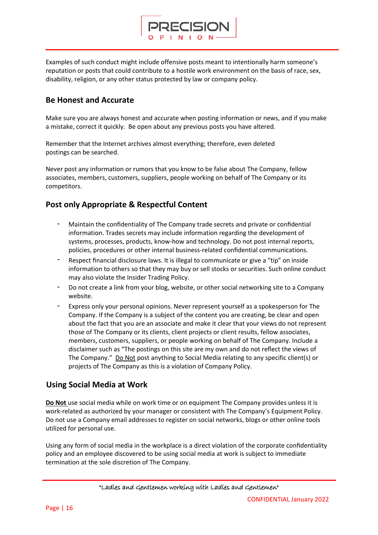

Examples of such conduct might include offensive posts meant to intentionally harm someone's reputation or posts that could contribute to a hostile work environment on the basis of race, sex, disability, religion, or any other status protected by law or company policy.

### **Be Honest and Accurate**

Make sure you are always honest and accurate when posting information or news, and if you make a mistake, correct it quickly. Be open about any previous posts you have altered.

Remember that the Internet archives almost everything; therefore, even deleted postings can be searched.

Never post any information or rumors that you know to be false about The Company, fellow associates, members, customers, suppliers, people working on behalf of The Company or its competitors.

### **Post only Appropriate & Respectful Content**

- Maintain the confidentiality of The Company trade secrets and private or confidential information. Trades secrets may include information regarding the development of systems, processes, products, know-how and technology. Do not post internal reports, policies, procedures or other internal business-related confidential communications.
- Respect financial disclosure laws. It is illegal to communicate or give a "tip" on inside information to others so that they may buy or sell stocks or securities. Such online conduct may also violate the Insider Trading Policy.
- Do not create a link from your blog, website, or other social networking site to a Company website.
- Express only your personal opinions. Never represent yourself as a spokesperson for The Company. If the Company is a subject of the content you are creating, be clear and open about the fact that you are an associate and make it clear that your views do not represent those of The Company or its clients, client projects or client results, fellow associates, members, customers, suppliers, or people working on behalf of The Company. Include a disclaimer such as "The postings on this site are my own and do not reflect the views of The Company." Do Not post anything to Social Media relating to any specific client(s) or projects of The Company as this is a violation of Company Policy.

### **Using Social Media at Work**

**Do Not** use social media while on work time or on equipment The Company provides unless it is work-related as authorized by your manager or consistent with The Company's Equipment Policy. Do not use a Company email addresses to register on social networks, blogs or other online tools utilized for personal use.

Using any form of social media in the workplace is a direct violation of the corporate confidentiality policy and an employee discovered to be using social media at work is subject to immediate termination at the sole discretion of The Company.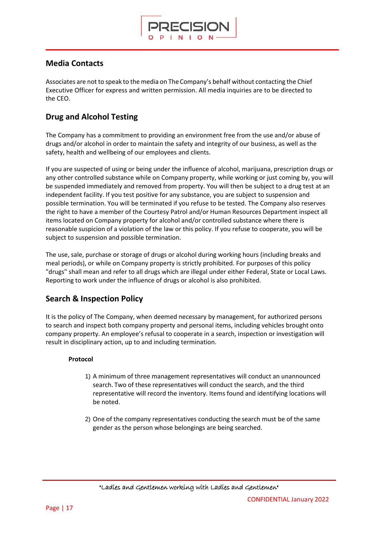

### **Media Contacts**

Associates are not to speak to the media on The Company's behalf without contacting the Chief Executive Officer for express and written permission. All media inquiries are to be directed to the CEO.

### **Drug and Alcohol Testing**

The Company has a commitment to providing an environment free from the use and/or abuse of drugs and/or alcohol in order to maintain the safety and integrity of our business, as well as the safety, health and wellbeing of our employees and clients.

If you are suspected of using or being under the influence of alcohol, marijuana, prescription drugs or any other controlled substance while on Company property, while working or just coming by, you will be suspended immediately and removed from property. You will then be subject to a drug test at an independent facility. If you test positive for any substance, you are subject to suspension and possible termination. You will be terminated if you refuse to be tested. The Company also reserves the right to have a member of the Courtesy Patrol and/or Human Resources Department inspect all items located on Company property for alcohol and/or controlled substance where there is reasonable suspicion of a violation of the law or this policy. If you refuse to cooperate, you will be subject to suspension and possible termination.

The use, sale, purchase or storage of drugs or alcohol during working hours (including breaks and meal periods), or while on Company property is strictly prohibited. For purposes of this policy "drugs" shall mean and refer to all drugs which are illegal under either Federal, State or Local Laws. Reporting to work under the influence of drugs or alcohol is also prohibited.

### **Search & Inspection Policy**

It is the policy of The Company, when deemed necessary by management, for authorized persons to search and inspect both company property and personal items, including vehicles brought onto company property. An employee's refusal to cooperate in a search, inspection or investigation will result in disciplinary action, up to and including termination.

#### **Protocol**

- 1) A minimum of three management representatives will conduct an unannounced search. Two of these representatives will conduct the search, and the third representative will record the inventory. Items found and identifying locations will be noted.
- 2) One of the company representatives conducting the search must be of the same gender as the person whose belongings are being searched.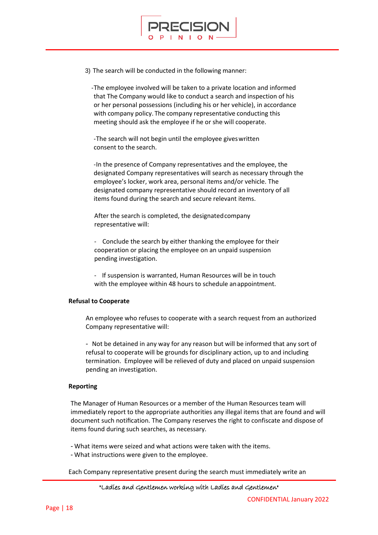

3) The search will be conducted in the following manner:

-The employee involved will be taken to a private location and informed that The Company would like to conduct a search and inspection of his or her personal possessions (including his or her vehicle), in accordance with company policy. The company representative conducting this meeting should ask the employee if he or she will cooperate.

-The search will not begin until the employee giveswritten consent to the search.

-In the presence of Company representatives and the employee, the designated Company representatives will search as necessary through the employee's locker, work area, personal items and/or vehicle. The designated company representative should record an inventory of all items found during the search and secure relevant items.

After the search is completed, the designatedcompany representative will:

- Conclude the search by either thanking the employee for their cooperation or placing the employee on an unpaid suspension pending investigation.

- If suspension is warranted, Human Resources will be in touch with the employee within 48 hours to schedule anappointment.

#### **Refusal to Cooperate**

An employee who refuses to cooperate with a search request from an authorized Company representative will:

- Not be detained in any way for any reason but will be informed that any sort of refusal to cooperate will be grounds for disciplinary action, up to and including termination. Employee will be relieved of duty and placed on unpaid suspension pending an investigation.

#### **Reporting**

The Manager of Human Resources or a member of the Human Resources team will immediately report to the appropriate authorities any illegal items that are found and will document such notification. The Company reserves the right to confiscate and dispose of items found during such searches, as necessary.

- What items were seized and what actions were taken with the items.

- What instructions were given to the employee.

Each Company representative present during the search must immediately write an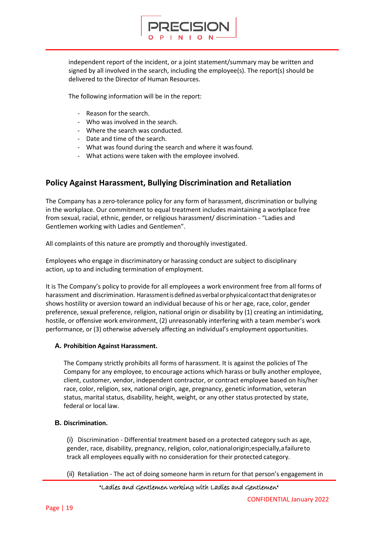

independent report of the incident, or a joint statement/summary may be written and signed by all involved in the search, including the employee(s). The report(s) should be delivered to the Director of Human Resources.

The following information will be in the report:

- Reason for the search.
- Who was involved in the search.
- Where the search was conducted.
- Date and time of the search.
- What was found during the search and where it wasfound.
- What actions were taken with the employee involved.

### **Policy Against Harassment, Bullying Discrimination and Retaliation**

The Company has a zero-tolerance policy for any form of harassment, discrimination or bullying in the workplace. Our commitment to equal treatment includes maintaining a workplace free from sexual, racial, ethnic, gender, or religious harassment/ discrimination - "Ladies and Gentlemen working with Ladies and Gentlemen".

All complaints of this nature are promptly and thoroughly investigated.

Employees who engage in discriminatory or harassing conduct are subject to disciplinary action, up to and including termination of employment.

It is The Company's policy to provide for all employees a work environment free from all forms of harassment and discrimination. Harassment is defined as verbal or physical contact that denigrates or shows hostility or aversion toward an individual because of his or her age, race, color, gender preference, sexual preference, religion, national origin or disability by (1) creating an intimidating, hostile, or offensive work environment, (2) unreasonably interfering with a team member's work performance, or (3) otherwise adversely affecting an individual's employment opportunities.

#### **A. Prohibition Against Harassment.**

The Company strictly prohibits all forms of harassment. It is against the policies of The Company for any employee, to encourage actions which harass or bully another employee, client, customer, vendor, independent contractor, or contract employee based on his/her race, color, religion, sex, national origin, age, pregnancy, genetic information, veteran status, marital status, disability, height, weight, or any other status protected by state, federal or local law.

#### **B. Discrimination.**

(i) Discrimination - Differential treatment based on a protected category such as age, gender, race, disability, pregnancy, religion, color, national origin; especially, a failure to track all employees equally with no consideration for their protected category.

(ii) Retaliation - The act of doing someone harm in return for that person's engagement in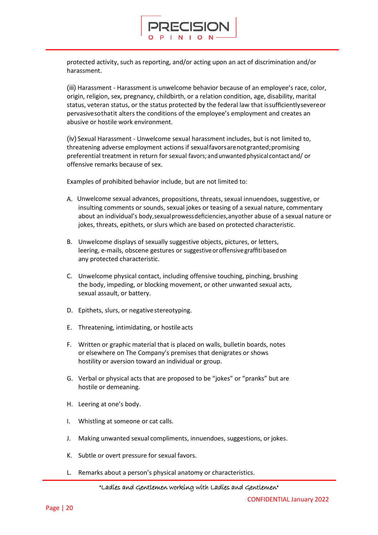

protected activity, such as reporting, and/or acting upon an act of discrimination and/or harassment.

(iii) Harassment - Harassment is unwelcome behavior because of an employee's race, color, origin, religion, sex, pregnancy, childbirth, or a relation condition, age, disability, marital status, veteran status, or the status protected by the federal law that issufficientlysevereor pervasivesothatit alters the conditions of the employee's employment and creates an abusive or hostile work environment.

(iv) Sexual Harassment - Unwelcome sexual harassment includes, but is not limited to, threatening adverse employment actions if sexualfavorsarenotgranted;promising preferential treatment in return for sexual favors; andunwanted physical contact and/ or offensive remarks because of sex.

Examples of prohibited behavior include, but are not limited to:

- A. Unwelcome sexual advances, propositions, threats, sexual innuendoes, suggestive, or insulting comments or sounds, sexual jokes or teasing of a sexual nature, commentary about an individual's body,sexualprowessdeficiencies,anyother abuse of a sexual nature or jokes, threats, epithets, or slurs which are based on protected characteristic.
- B. Unwelcome displays of sexually suggestive objects, pictures, or letters, leering, e-mails, obscene gestures or suggestiveoroffensive graffitibasedon any protected characteristic.
- C. Unwelcome physical contact, including offensive touching, pinching, brushing the body, impeding, or blocking movement, or other unwanted sexual acts, sexual assault, or battery.
- D. Epithets, slurs, or negative stereotyping.
- E. Threatening, intimidating, or hostile acts
- F. Written or graphic material that is placed on walls, bulletin boards, notes or elsewhere on The Company's premises that denigrates or shows hostility or aversion toward an individual or group.
- G. Verbal or physical acts that are proposed to be "jokes" or "pranks" but are hostile or demeaning.
- H. Leering at one's body.
- I. Whistling at someone or cat calls.
- J. Making unwanted sexual compliments, innuendoes, suggestions, or jokes.
- K. Subtle or overt pressure for sexual favors.
- L. Remarks about a person's physical anatomy or characteristics.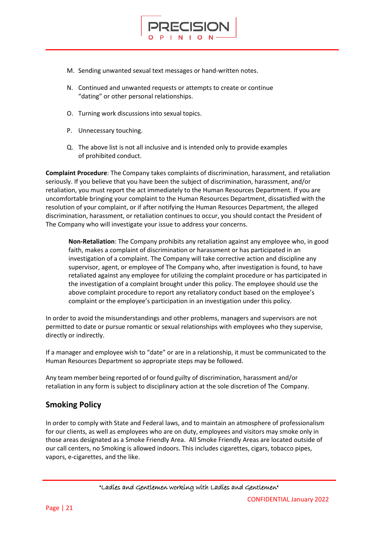

N. Continued and unwanted requests or attempts to create or continue "dating" or other personal relationships.

**ECISION** 

- O. Turning work discussions into sexual topics.
- P. Unnecessary touching.
- Q. The above list is not all inclusive and is intended only to provide examples of prohibited conduct.

**Complaint Procedure**: The Company takes complaints of discrimination, harassment, and retaliation seriously. If you believe that you have been the subject of discrimination, harassment, and/or retaliation, you must report the act immediately to the Human Resources Department. If you are uncomfortable bringing your complaint to the Human Resources Department, dissatisfied with the resolution of your complaint, or if after notifying the Human Resources Department, the alleged discrimination, harassment, or retaliation continues to occur, you should contact the President of The Company who will investigate your issue to address your concerns.

**Non-Retaliation**: The Company prohibits any retaliation against any employee who, in good faith, makes a complaint of discrimination or harassment or has participated in an investigation of a complaint. The Company will take corrective action and discipline any supervisor, agent, or employee of The Company who, after investigation is found, to have retaliated against any employee for utilizing the complaint procedure or has participated in the investigation of a complaint brought under this policy. The employee should use the above complaint procedure to report any retaliatory conduct based on the employee's complaint or the employee's participation in an investigation under this policy.

In order to avoid the misunderstandings and other problems, managers and supervisors are not permitted to date or pursue romantic or sexual relationships with employees who they supervise, directly or indirectly.

If a manager and employee wish to "date" or are in a relationship, it must be communicated to the Human Resources Department so appropriate steps may be followed.

Any team member being reported of or found guilty of discrimination, harassment and/or retaliation in any form is subject to disciplinary action at the sole discretion of The Company.

### **Smoking Policy**

In order to comply with State and Federal laws, and to maintain an atmosphere of professionalism for our clients, as well as employees who are on duty, employees and visitors may smoke only in those areas designated as a Smoke Friendly Area. All Smoke Friendly Areas are located outside of our call centers, no Smoking is allowed indoors. This includes cigarettes, cigars, tobacco pipes, vapors, e-cigarettes, and the like.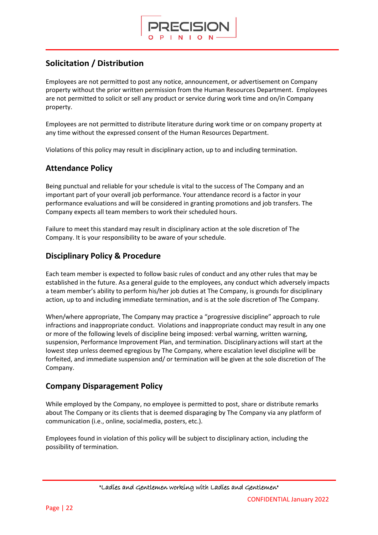

### **Solicitation / Distribution**

Employees are not permitted to post any notice, announcement, or advertisement on Company property without the prior written permission from the Human Resources Department. Employees are not permitted to solicit or sell any product or service during work time and on/in Company property.

Employees are not permitted to distribute literature during work time or on company property at any time without the expressed consent of the Human Resources Department.

Violations of this policy may result in disciplinary action, up to and including termination.

### **Attendance Policy**

Being punctual and reliable for your schedule is vital to the success of The Company and an important part of your overall job performance. Your attendance record is a factor in your performance evaluations and will be considered in granting promotions and job transfers. The Company expects all team members to work their scheduled hours.

Failure to meet this standard may result in disciplinary action at the sole discretion of The Company. It is your responsibility to be aware of your schedule.

### **Disciplinary Policy & Procedure**

Each team member is expected to follow basic rules of conduct and any other rules that may be established in the future. As a general guide to the employees, any conduct which adversely impacts a team member's ability to perform his/her job duties at The Company, is grounds for disciplinary action, up to and including immediate termination, and is at the sole discretion of The Company.

When/where appropriate, The Company may practice a "progressive discipline" approach to rule infractions and inappropriate conduct. Violations and inappropriate conduct may result in any one or more of the following levels of discipline being imposed: verbal warning, written warning, suspension, Performance Improvement Plan, and termination. Disciplinaryactions will start at the lowest step unless deemed egregious by The Company, where escalation level discipline will be forfeited, and immediate suspension and/ or termination will be given at the sole discretion of The Company.

### **Company Disparagement Policy**

While employed by the Company, no employee is permitted to post, share or distribute remarks about The Company or its clients that is deemed disparaging by The Company via any platform of communication (i.e., online, socialmedia, posters, etc.).

Employees found in violation of this policy will be subject to disciplinary action, including the possibility of termination.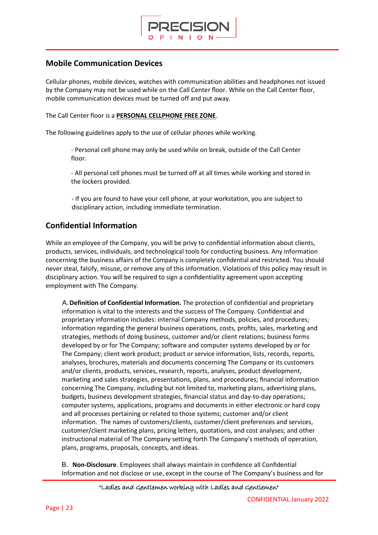

### **Mobile Communication Devices**

Cellular phones, mobile devices, watches with communication abilities and headphones not issued by the Company may not be used while on the Call Center floor. While on the Call Center floor, mobile communication devices must be turned off and put away.

The Call Center floor is a **PERSONAL CELLPHONE FREE ZONE**.

The following guidelines apply to the use of cellular phones while working.

- Personal cell phone may only be used while on break, outside of the Call Center floor.

- All personal cell phones must be turned off at all times while working and stored in the lockers provided.

- If you are found to have your cell phone, at your workstation, you are subject to disciplinary action, including immediate termination.

### **Confidential Information**

While an employee of the Company, you will be privy to confidential information about clients, products, services, individuals, and technological tools for conducting business. Any information concerning the business affairs of the Company is completely confidential and restricted. You should never steal, falsify, misuse, or remove any of this information. Violations of this policy may result in disciplinary action. You will be required to sign a confidentiality agreement upon accepting employment with The Company.

A.**Definition of Confidential Information.** The protection of confidential and proprietary information is vital to the interests and the success of The Company. Confidential and proprietary information includes: internal Company methods, policies, and procedures; information regarding the general business operations, costs, profits, sales, marketing and strategies, methods of doing business, customer and/or client relations; business forms developed by or for The Company; software and computer systems developed by or for The Company; client work product; product or service information, lists, records, reports, analyses, brochures, materials and documents concerning The Company or its customers and/or clients, products, services, research, reports, analyses, product development, marketing and sales strategies, presentations, plans, and procedures; financial information concerning The Company, including but not limited to, marketing plans, advertising plans, budgets, business development strategies, financial status and day-to-day operations; computer systems, applications, programs and documents in either electronic or hard copy and all processes pertaining or related to those systems; customer and/or client information. The names of customers/clients, customer/client preferences and services, customer/client marketing plans, pricing letters, quotations, and cost analyses; and other instructional material of The Company setting forth The Company's methods of operation, plans, programs, proposals, concepts, and ideas.

B. **Non-Disclosure**. Employees shall always maintain in confidence all Confidential Information and not disclose or use, except in the course of The Company's business and for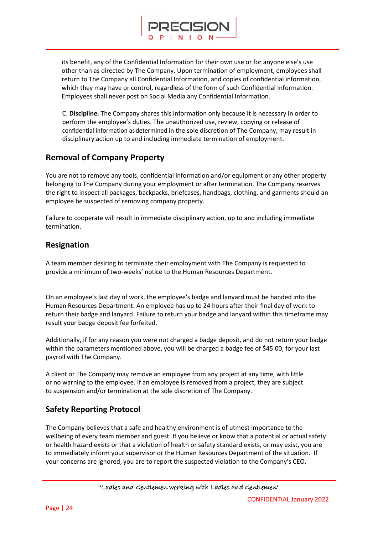

RECISION

C. **Discipline**. The Company shares this information only because it is necessary in order to perform the employee's duties. The unauthorized use, review, copying or release of confidential information asdetermined in the sole discretion of The Company, may result in disciplinary action up to and including immediate termination of employment.

### **Removal of Company Property**

You are not to remove any tools, confidential information and/or equipment or any other property belonging to The Company during your employment or after termination. The Company reserves the right to inspect all packages, backpacks, briefcases, handbags, clothing, and garments should an employee be suspected of removing company property.

Failure to cooperate will result in immediate disciplinary action, up to and including immediate termination.

### **Resignation**

A team member desiring to terminate their employment with The Company is requested to provide a minimum of two-weeks' notice to the Human Resources Department.

On an employee's last day of work, the employee's badge and lanyard must be handed into the Human Resources Department. An employee has up to 24 hours after their final day of work to return their badge and lanyard. Failure to return your badge and lanyard within this timeframe may result your badge deposit fee forfeited.

Additionally, if for any reason you were not charged a badge deposit, and do not return your badge within the parameters mentioned above, you will be charged a badge fee of \$45.00, for your last payroll with The Company.

A client or The Company may remove an employee from any project at any time, with little or no warning to the employee. If an employee is removed from a project, they are subject to suspension and/or termination at the sole discretion of The Company.

### **Safety Reporting Protocol**

The Company believes that a safe and healthy environment is of utmost importance to the wellbeing of every team member and guest. If you believe or know that a potential or actual safety or health hazard exists or that a violation of health or safety standard exists, or may exist, you are to immediately inform your supervisor or the Human Resources Department of the situation. If your concerns are ignored, you are to report the suspected violation to the Company's CEO.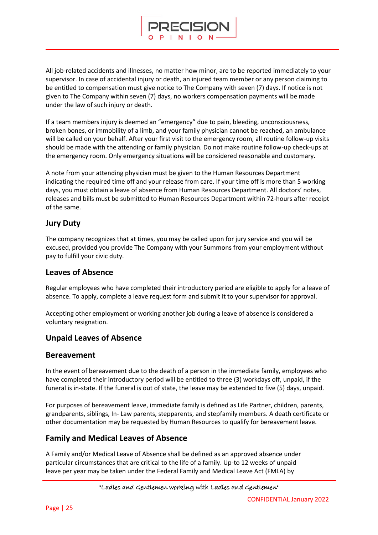All job-related accidents and illnesses, no matter how minor, are to be reported immediately to your supervisor. In case of accidental injury or death, an injured team member or any person claiming to be entitled to compensation must give notice to The Company with seven (7) days. If notice is not given to The Company within seven (7) days, no workers compensation payments will be made under the law of such injury or death.

RECISION

If a team members injury is deemed an "emergency" due to pain, bleeding, unconsciousness, broken bones, or immobility of a limb, and your family physician cannot be reached, an ambulance will be called on your behalf. After your first visit to the emergency room, all routine follow-up visits should be made with the attending or family physician. Do not make routine follow-up check-ups at the emergency room. Only emergency situations will be considered reasonable and customary.

A note from your attending physician must be given to the Human Resources Department indicating the required time off and your release from care. If your time off is more than 5 working days, you must obtain a leave of absence from Human Resources Department. All doctors' notes, releases and bills must be submitted to Human Resources Department within 72-hours after receipt of the same.

### **Jury Duty**

The company recognizes that at times, you may be called upon for jury service and you will be excused, provided you provide The Company with your Summons from your employment without pay to fulfill your civic duty.

### **Leaves of Absence**

Regular employees who have completed their introductory period are eligible to apply for a leave of absence. To apply, complete a leave request form and submit it to your supervisor for approval.

Accepting other employment or working another job during a leave of absence is considered a voluntary resignation.

### **Unpaid Leaves of Absence**

### **Bereavement**

In the event of bereavement due to the death of a person in the immediate family, employees who have completed their introductory period will be entitled to three (3) workdays off, unpaid, if the funeral is in-state. If the funeral is out of state, the leave may be extended to five (5) days, unpaid.

For purposes of bereavement leave, immediate family is defined as Life Partner, children, parents, grandparents, siblings, In- Law parents, stepparents, and stepfamily members. A death certificate or other documentation may be requested by Human Resources to qualify for bereavement leave.

### **Family and Medical Leaves of Absence**

A Family and/or Medical Leave of Absence shall be defined as an approved absence under particular circumstances that are critical to the life of a family. Up-to 12 weeks of unpaid leave per year may be taken under the Federal Family and Medical Leave Act (FMLA) by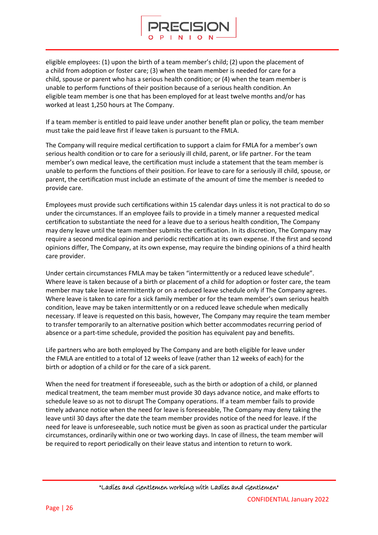

eligible employees: (1) upon the birth of a team member's child; (2) upon the placement of a child from adoption or foster care; (3) when the team member is needed for care for a child, spouse or parent who has a serious health condition; or (4) when the team member is unable to perform functions of their position because of a serious health condition. An eligible team member is one that has been employed for at least twelve months and/or has worked at least 1,250 hours at The Company.

If a team member is entitled to paid leave under another benefit plan or policy, the team member must take the paid leave first if leave taken is pursuant to the FMLA.

The Company will require medical certification to support a claim for FMLA for a member's own serious health condition or to care for a seriously ill child, parent, or life partner. For the team member's own medical leave, the certification must include a statement that the team member is unable to perform the functions of their position. For leave to care for a seriously ill child, spouse, or parent, the certification must include an estimate of the amount of time the member is needed to provide care.

Employees must provide such certifications within 15 calendar days unless it is not practical to do so under the circumstances. If an employee fails to provide in a timely manner a requested medical certification to substantiate the need for a leave due to a serious health condition, The Company may deny leave until the team member submits the certification. In its discretion, The Company may require a second medical opinion and periodic rectification at its own expense. If the first and second opinions differ, The Company, at its own expense, may require the binding opinions of a third health care provider.

Under certain circumstances FMLA may be taken "intermittently or a reduced leave schedule". Where leave is taken because of a birth or placement of a child for adoption or foster care, the team member may take leave intermittently or on a reduced leave schedule only if The Company agrees. Where leave is taken to care for a sick family member or for the team member's own serious health condition, leave may be taken intermittently or on a reduced leave schedule when medically necessary. If leave is requested on this basis, however, The Company may require the team member to transfer temporarily to an alternative position which better accommodates recurring period of absence or a part-time schedule, provided the position has equivalent pay and benefits.

Life partners who are both employed by The Company and are both eligible for leave under the FMLA are entitled to a total of 12 weeks of leave (rather than 12 weeks of each) for the birth or adoption of a child or for the care of a sick parent.

When the need for treatment if foreseeable, such as the birth or adoption of a child, or planned medical treatment, the team member must provide 30 days advance notice, and make efforts to schedule leave so as not to disrupt The Company operations. If a team member fails to provide timely advance notice when the need for leave is foreseeable, The Company may deny taking the leave until 30 days after the date the team member provides notice of the need for leave. If the need for leave is unforeseeable, such notice must be given as soon as practical under the particular circumstances, ordinarily within one or two working days. In case of illness, the team member will be required to report periodically on their leave status and intention to return to work.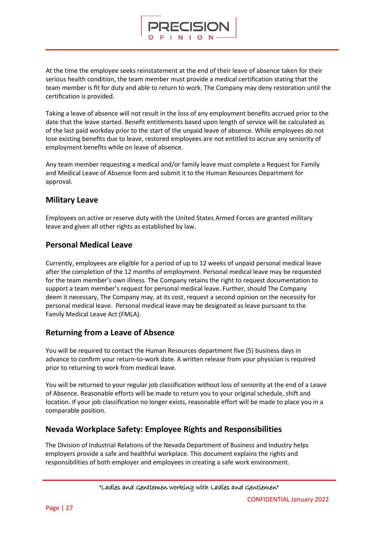At the time the employee seeks reinstatement at the end of their leave of absence taken for their serious health condition, the team member must provide a medical certification stating that the team member is fit for duty and able to return to work. The Company may deny restoration until the certification is provided.

RECISION

Taking a leave of absence will not result in the loss of any employment benefits accrued prior to the date that the leave started. Benefit entitlements based upon length of service will be calculated as of the last paid workday prior to the start of the unpaid leave of absence. While employees do not lose existing benefits due to leave, restored employees are not entitled to accrue any seniority of employment benefits while on leave of absence.

Any team member requesting a medical and/or family leave must complete a Request for Family and Medical Leave of Absence form and submit it to the Human Resources Department for approval.

### **Military Leave**

Employees on active or reserve duty with the United States Armed Forces are granted military leave and given all other rights as established by law.

### **Personal Medical Leave**

Currently, employees are eligible for a period of up to 12 weeks of unpaid personal medical leave after the completion of the 12 months of employment. Personal medical leave may be requested for the team member's own illness. The Company retains the right to request documentation to support a team member's request for personal medical leave. Further, should The Company deem it necessary, The Company may, at its cost, request a second opinion on the necessity for personal medical leave. Personal medical leave may be designated as leave pursuant to the Family Medical Leave Act (FMLA).

### **Returning from a Leave of Absence**

You will be required to contact the Human Resources department five (5) business days in advance to confirm your return-to-work date. A written release from your physician is required prior to returning to work from medical leave.

You will be returned to your regular job classification without loss of seniority at the end of a Leave of Absence. Reasonable efforts will be made to return you to your original schedule, shift and location. If your job classification no longer exists, reasonable effort will be made to place you in a comparable position.

### **Nevada Workplace Safety: Employee Rights and Responsibilities**

The Division of Industrial Relations of the Nevada Department of Business and Industry helps employers provide a safe and healthful workplace. This document explains the rights and responsibilities of both employer and employees in creating a safe work environment.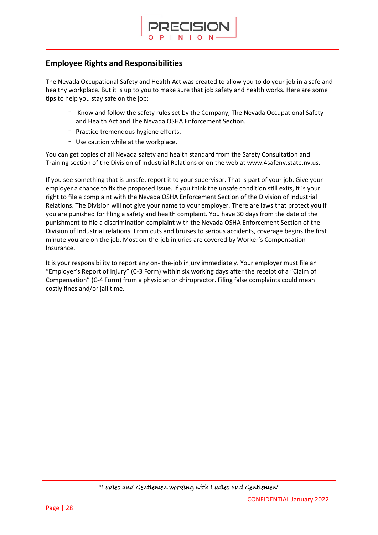

### **Employee Rights and Responsibilities**

The Nevada Occupational Safety and Health Act was created to allow you to do your job in a safe and healthy workplace. But it is up to you to make sure that job safety and health works. Here are some tips to help you stay safe on the job:

- Know and follow the safety rules set by the Company, The Nevada Occupational Safety and Health Act and The Nevada OSHA Enforcement Section.
- Practice tremendous hygiene efforts.
- Use caution while at the workplace.

You can get copies of all Nevada safety and health standard from the Safety Consultation and Training section of the Division of Industrial Relations or on the web at [www.4safenv.state.nv.us.](http://www.4safenv.state.nv.us/)

If you see something that is unsafe, report it to your supervisor. That is part of your job. Give your employer a chance to fix the proposed issue. If you think the unsafe condition still exits, it is your right to file a complaint with the Nevada OSHA Enforcement Section of the Division of Industrial Relations. The Division will not give your name to your employer. There are laws that protect you if you are punished for filing a safety and health complaint. You have 30 days from the date of the punishment to file a discrimination complaint with the Nevada OSHA Enforcement Section of the Division of Industrial relations. From cuts and bruises to serious accidents, coverage begins the first minute you are on the job. Most on-the-job injuries are covered by Worker's Compensation Insurance.

It is your responsibility to report any on- the-job injury immediately. Your employer must file an "Employer's Report of Injury" (C-3 Form) within six working days after the receipt of a "Claim of Compensation" (C-4 Form) from a physician or chiropractor. Filing false complaints could mean costly fines and/or jail time.